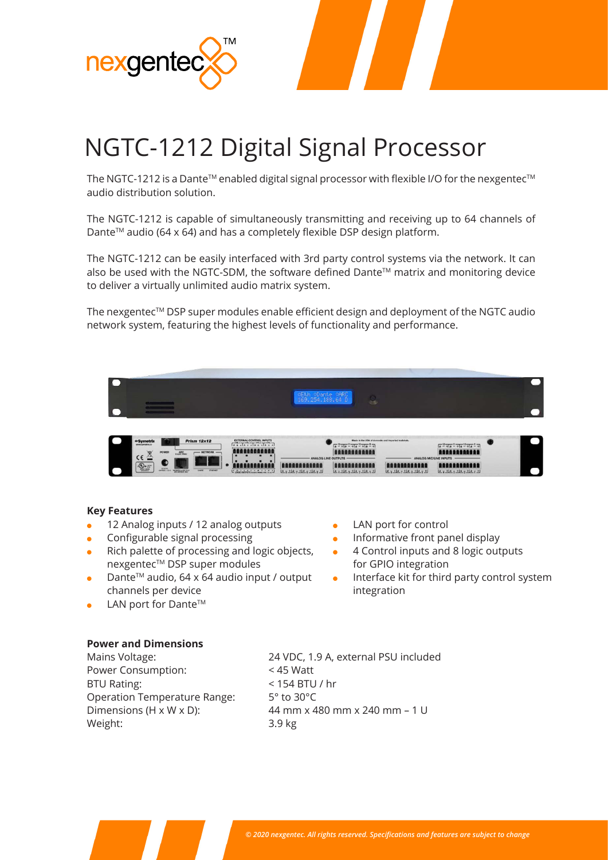

# NGTC-1212 Digital Signal Processor

The NGTC-1212 is a Dante™ enabled digital signal processor with flexible I/O for the nexgentec™ audio distribution solution.

The NGTC-1212 is capable of simultaneously transmitting and receiving up to 64 channels of Dante<sup>™</sup> audio (64 x 64) and has a completely flexible DSP design platform.

The NGTC-1212 can be easily interfaced with 3rd party control systems via the network. It can also be used with the NGTC-SDM, the software defined Dante™ matrix and monitoring device to deliver a virtually unlimited audio matrix system.

The nexgentec™ DSP super modules enable efficient design and deployment of the NGTC audio network system, featuring the highest levels of functionality and performance.

| Name and Address of the Owner,                                                                                                                   |                                                                                                        |                                                                                                        |
|--------------------------------------------------------------------------------------------------------------------------------------------------|--------------------------------------------------------------------------------------------------------|--------------------------------------------------------------------------------------------------------|
|                                                                                                                                                  |                                                                                                        |                                                                                                        |
|                                                                                                                                                  |                                                                                                        |                                                                                                        |
|                                                                                                                                                  | CARD<br><b>CELA</b><br><b>ODante</b><br>169.254.188.64 D                                               |                                                                                                        |
|                                                                                                                                                  | Ы                                                                                                      |                                                                                                        |
|                                                                                                                                                  |                                                                                                        |                                                                                                        |
|                                                                                                                                                  |                                                                                                        |                                                                                                        |
|                                                                                                                                                  |                                                                                                        |                                                                                                        |
|                                                                                                                                                  |                                                                                                        |                                                                                                        |
|                                                                                                                                                  | Made in the USA of domestic and imported materials.                                                    |                                                                                                        |
| <b>Prism 12x12</b><br><b>o Symetrix</b>                                                                                                          | EXTERNAL CONTROL INPUTS<br>$\sqrt{a^2 + 4a^2 + 4a^2 + 4a^2 + 4a^2}$                                    | $\frac{12}{4} + \frac{12}{4} + \frac{11}{4} + \frac{10}{4} + \frac{10}{4} + \frac{1}{4} + \frac{1}{4}$ |
| <b>POWER</b><br>$-$ NETWORK $-$<br><b>ARC</b>                                                                                                    | <b>ALEABARD</b><br>nnai<br><b>AAAAAAAAAAA</b>                                                          | <b>ARARABARARAR</b>                                                                                    |
| $CE \geq$                                                                                                                                        | ANALOG LINE OUTPUTS<br>ANALOG MIC/LINE INPUTS                                                          |                                                                                                        |
| ъo                                                                                                                                               | ii i                                                                                                   |                                                                                                        |
| $\boxed{\mathbf{r}(\mathbf{Q})_{\mathbf{w}} \mathbf{w}^{\mathbf{w}}_{\mathbf{w}}$<br><b><i><u>ANTIBOTION COMMENTANTS</u></i></b><br>About County | <b><i><u>And American Property Administration</u></i></b><br><b>A STATE OF A CALIFORNIA CONTINUES.</b> | A contract of a contract of a contract of the contract of                                              |

### **Key Features**

- 12 Analog inputs / 12 analog outputs
- Configurable signal processing
- Rich palette of processing and logic objects, nexgentec™ DSP super modules
- Dante™ audio, 64 x 64 audio input / output channels per device
- LAN port for Dante™
- LAN port for control
- Informative front panel display
- 4 Control inputs and 8 logic outputs for GPIO integration
- Interface kit for third party control system integration

# **Power and Dimensions**

Power Consumption: < 45 Watt BTU Rating:  $\leq 154$  BTU / hr Operation Temperature Range: 5° to 30°C Weight: 3.9 kg

Mains Voltage: 24 VDC, 1.9 A, external PSU included Dimensions (H x W x D):  $\frac{44 \text{ mm} \times 480 \text{ mm} \times 240 \text{ mm} - 1 \text{ U}}{44 \text{ mm} \times 480 \text{ mm}}$